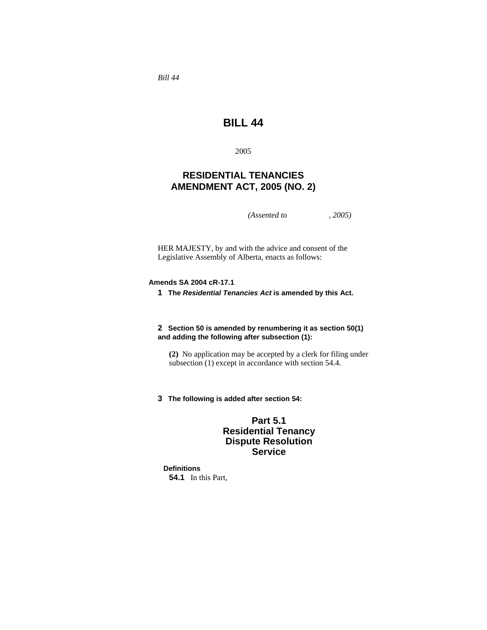*Bill 44* 

# **BILL 44**

2005

## **RESIDENTIAL TENANCIES AMENDMENT ACT, 2005 (NO. 2)**

*(Assented to , 2005)* 

HER MAJESTY, by and with the advice and consent of the Legislative Assembly of Alberta, enacts as follows:

## **Amends SA 2004 cR-17.1**

**1 The** *Residential Tenancies Act* **is amended by this Act.** 

## **2 Section 50 is amended by renumbering it as section 50(1) and adding the following after subsection (1):**

**(2)** No application may be accepted by a clerk for filing under subsection (1) except in accordance with section 54.4.

**3 The following is added after section 54:**

## **Part 5.1 Residential Tenancy Dispute Resolution Service**

**Definitions 54.1** In this Part,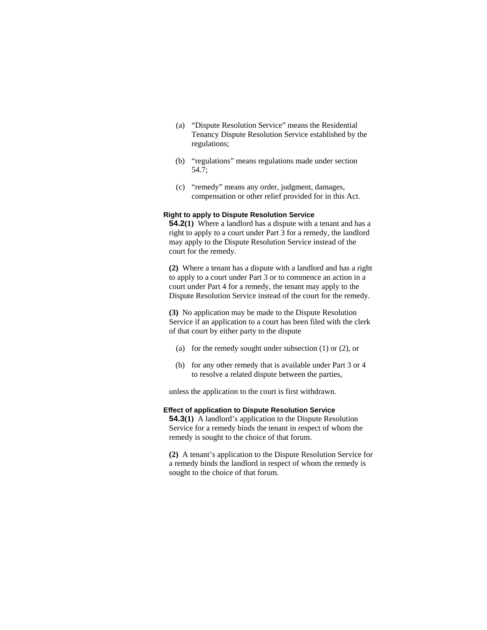- (a) "Dispute Resolution Service" means the Residential Tenancy Dispute Resolution Service established by the regulations;
- (b) "regulations" means regulations made under section 54.7;
- (c) "remedy" means any order, judgment, damages, compensation or other relief provided for in this Act.

## **Right to apply to Dispute Resolution Service**

**54.2(1)** Where a landlord has a dispute with a tenant and has a right to apply to a court under Part 3 for a remedy, the landlord may apply to the Dispute Resolution Service instead of the court for the remedy.

**(2)** Where a tenant has a dispute with a landlord and has a right to apply to a court under Part 3 or to commence an action in a court under Part 4 for a remedy, the tenant may apply to the Dispute Resolution Service instead of the court for the remedy.

**(3)** No application may be made to the Dispute Resolution Service if an application to a court has been filed with the clerk of that court by either party to the dispute

- (a) for the remedy sought under subsection (1) or (2), or
- (b) for any other remedy that is available under Part 3 or 4 to resolve a related dispute between the parties,

unless the application to the court is first withdrawn.

#### **Effect of application to Dispute Resolution Service**

**54.3(1)** A landlord's application to the Dispute Resolution Service for a remedy binds the tenant in respect of whom the remedy is sought to the choice of that forum.

**(2)** A tenant's application to the Dispute Resolution Service for a remedy binds the landlord in respect of whom the remedy is sought to the choice of that forum.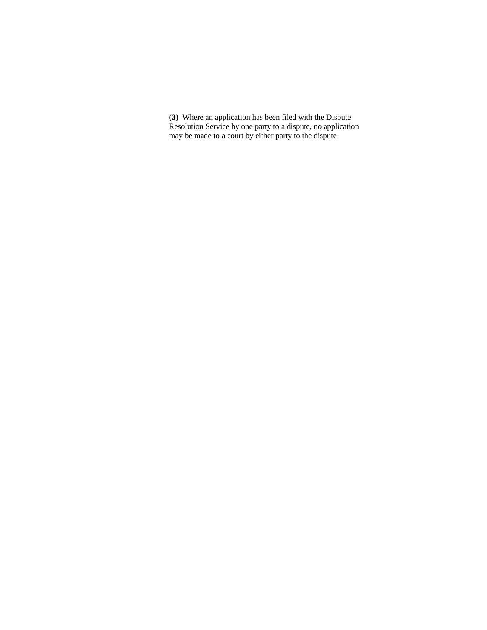**(3)** Where an application has been filed with the Dispute Resolution Service by one party to a dispute, no application may be made to a court by either party to the dispute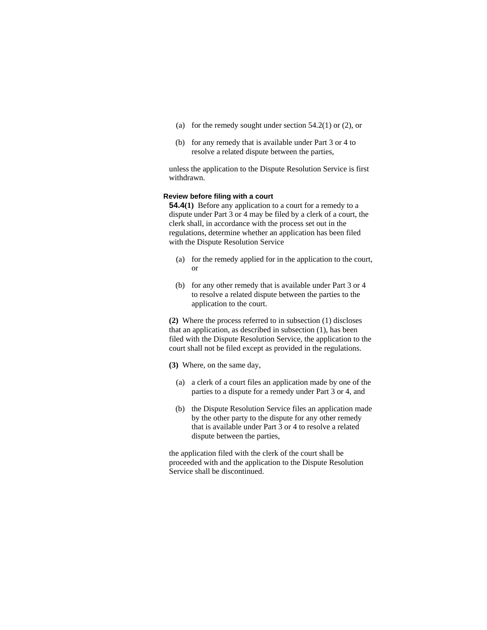- (a) for the remedy sought under section  $54.2(1)$  or  $(2)$ , or
- (b) for any remedy that is available under Part 3 or 4 to resolve a related dispute between the parties,

unless the application to the Dispute Resolution Service is first withdrawn.

## **Review before filing with a court**

**54.4(1)** Before any application to a court for a remedy to a dispute under Part 3 or 4 may be filed by a clerk of a court, the clerk shall, in accordance with the process set out in the regulations, determine whether an application has been filed with the Dispute Resolution Service

- (a) for the remedy applied for in the application to the court, or
- (b) for any other remedy that is available under Part 3 or 4 to resolve a related dispute between the parties to the application to the court.

**(2)** Where the process referred to in subsection (1) discloses that an application, as described in subsection (1), has been filed with the Dispute Resolution Service, the application to the court shall not be filed except as provided in the regulations.

**(3)** Where, on the same day,

- (a) a clerk of a court files an application made by one of the parties to a dispute for a remedy under Part 3 or 4, and
- (b) the Dispute Resolution Service files an application made by the other party to the dispute for any other remedy that is available under Part 3 or 4 to resolve a related dispute between the parties,

the application filed with the clerk of the court shall be proceeded with and the application to the Dispute Resolution Service shall be discontinued.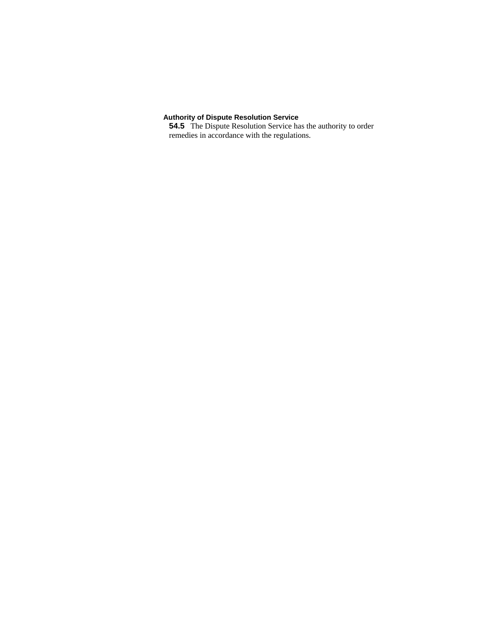#### **Authority of Dispute Resolution Service**

**54.5** The Dispute Resolution Service has the authority to order remedies in accordance with the regulations.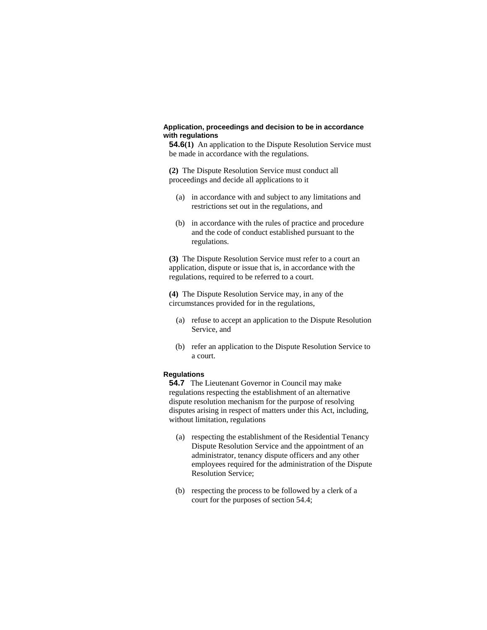## **Application, proceedings and decision to be in accordance with regulations**

**54.6(1)** An application to the Dispute Resolution Service must be made in accordance with the regulations.

**(2)** The Dispute Resolution Service must conduct all proceedings and decide all applications to it

- (a) in accordance with and subject to any limitations and restrictions set out in the regulations, and
- (b) in accordance with the rules of practice and procedure and the code of conduct established pursuant to the regulations.

**(3)** The Dispute Resolution Service must refer to a court an application, dispute or issue that is, in accordance with the regulations, required to be referred to a court.

**(4)** The Dispute Resolution Service may, in any of the circumstances provided for in the regulations,

- (a) refuse to accept an application to the Dispute Resolution Service, and
- (b) refer an application to the Dispute Resolution Service to a court.

#### **Regulations**

**54.7** The Lieutenant Governor in Council may make regulations respecting the establishment of an alternative dispute resolution mechanism for the purpose of resolving disputes arising in respect of matters under this Act, including, without limitation, regulations

- (a) respecting the establishment of the Residential Tenancy Dispute Resolution Service and the appointment of an administrator, tenancy dispute officers and any other employees required for the administration of the Dispute Resolution Service;
- (b) respecting the process to be followed by a clerk of a court for the purposes of section 54.4;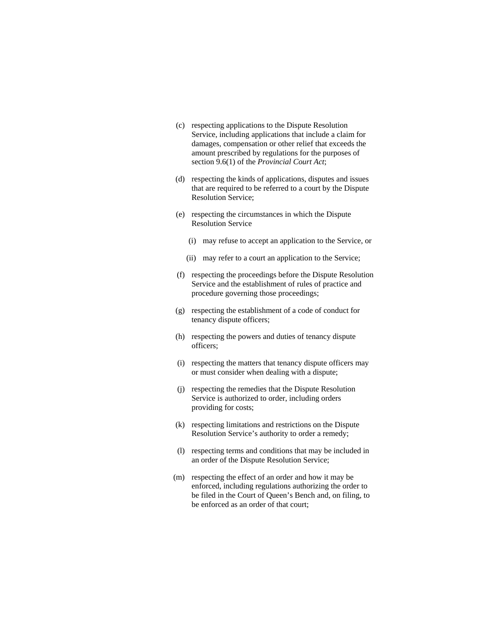- (c) respecting applications to the Dispute Resolution Service, including applications that include a claim for damages, compensation or other relief that exceeds the amount prescribed by regulations for the purposes of section 9.6(1) of the *Provincial Court Act*;
- (d) respecting the kinds of applications, disputes and issues that are required to be referred to a court by the Dispute Resolution Service;
- (e) respecting the circumstances in which the Dispute Resolution Service
	- (i) may refuse to accept an application to the Service, or
	- (ii) may refer to a court an application to the Service;
- (f) respecting the proceedings before the Dispute Resolution Service and the establishment of rules of practice and procedure governing those proceedings;
- (g) respecting the establishment of a code of conduct for tenancy dispute officers;
- (h) respecting the powers and duties of tenancy dispute officers;
- (i) respecting the matters that tenancy dispute officers may or must consider when dealing with a dispute;
- (j) respecting the remedies that the Dispute Resolution Service is authorized to order, including orders providing for costs;
- (k) respecting limitations and restrictions on the Dispute Resolution Service's authority to order a remedy;
- (l) respecting terms and conditions that may be included in an order of the Dispute Resolution Service;
- (m) respecting the effect of an order and how it may be enforced, including regulations authorizing the order to be filed in the Court of Queen's Bench and, on filing, to be enforced as an order of that court;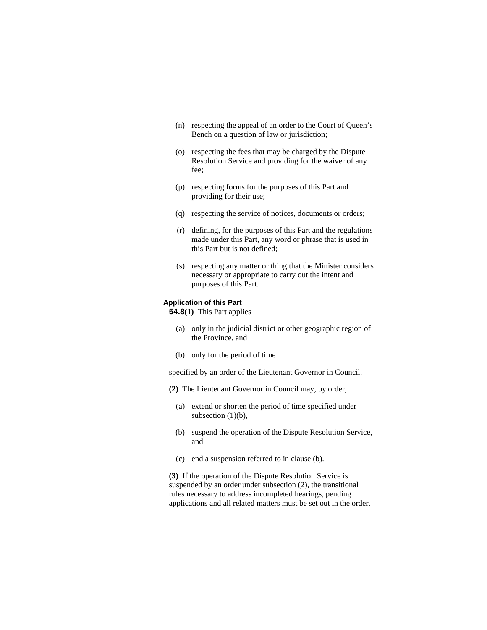- (n) respecting the appeal of an order to the Court of Queen's Bench on a question of law or jurisdiction;
- (o) respecting the fees that may be charged by the Dispute Resolution Service and providing for the waiver of any fee;
- (p) respecting forms for the purposes of this Part and providing for their use;
- (q) respecting the service of notices, documents or orders;
- (r) defining, for the purposes of this Part and the regulations made under this Part, any word or phrase that is used in this Part but is not defined;
- (s) respecting any matter or thing that the Minister considers necessary or appropriate to carry out the intent and purposes of this Part.

## **Application of this Part**

**54.8(1)** This Part applies

- (a) only in the judicial district or other geographic region of the Province, and
- (b) only for the period of time

specified by an order of the Lieutenant Governor in Council.

- **(2)** The Lieutenant Governor in Council may, by order,
	- (a) extend or shorten the period of time specified under subsection  $(1)(b)$ ,
	- (b) suspend the operation of the Dispute Resolution Service, and
	- (c) end a suspension referred to in clause (b).

**(3)** If the operation of the Dispute Resolution Service is suspended by an order under subsection (2), the transitional rules necessary to address incompleted hearings, pending applications and all related matters must be set out in the order.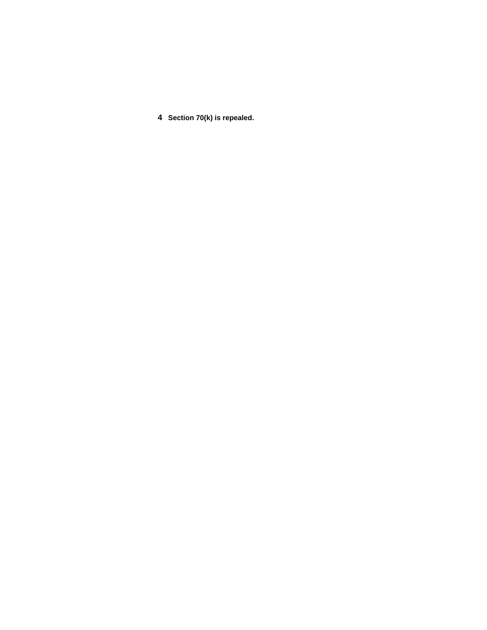**4 Section 70(k) is repealed.**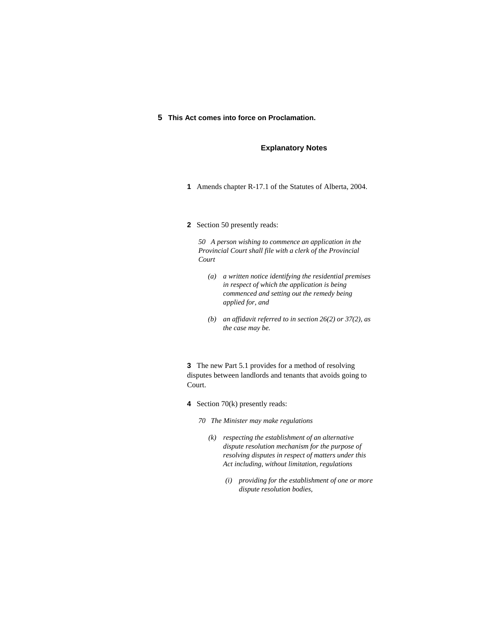### **5 This Act comes into force on Proclamation.**

## **Explanatory Notes**

- **1** Amends chapter R-17.1 of the Statutes of Alberta, 2004.
- **2** Section 50 presently reads:

*50 A person wishing to commence an application in the Provincial Court shall file with a clerk of the Provincial Court* 

- *(a) a written notice identifying the residential premises in respect of which the application is being commenced and setting out the remedy being applied for, and*
- *(b) an affidavit referred to in section 26(2) or 37(2), as the case may be.*

**3** The new Part 5.1 provides for a method of resolving disputes between landlords and tenants that avoids going to Court.

**4** Section 70(k) presently reads:

*70 The Minister may make regulations* 

- *(k) respecting the establishment of an alternative dispute resolution mechanism for the purpose of resolving disputes in respect of matters under this Act including, without limitation, regulations* 
	- *(i) providing for the establishment of one or more dispute resolution bodies,*